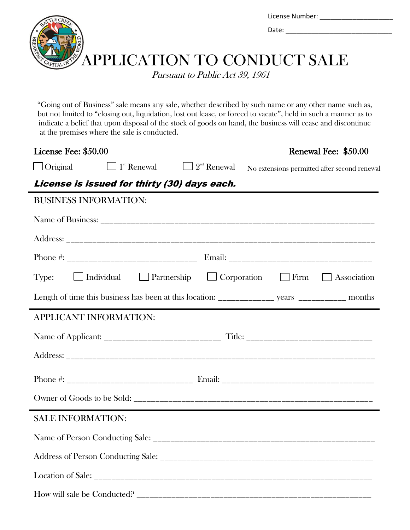

"Going out of Business" sale means any sale, whether described by such name or any other name such as, but not limited to "closing out, liquidation, lost out lease, or forced to vacate", held in such a manner as to indicate a belief that upon disposal of the stock of goods on hand, the business will cease and discontinue at the premises where the sale is conducted.

| License Fee: \$50.00                                                                             |                                                               | Renewal Fee: \$50.00                         |  |  |  |  |
|--------------------------------------------------------------------------------------------------|---------------------------------------------------------------|----------------------------------------------|--|--|--|--|
| $\Box$ Original                                                                                  | $\Box$ 1 <sup>st</sup> Renewal $\Box$ 2 <sup>nd</sup> Renewal | No extensions permitted after second renewal |  |  |  |  |
| License is issued for thirty (30) days each.                                                     |                                                               |                                              |  |  |  |  |
| <b>BUSINESS INFORMATION:</b>                                                                     |                                                               |                                              |  |  |  |  |
|                                                                                                  |                                                               |                                              |  |  |  |  |
|                                                                                                  |                                                               |                                              |  |  |  |  |
|                                                                                                  |                                                               |                                              |  |  |  |  |
| Type: $\Box$ Individual $\Box$ Partnership $\Box$ Corporation $\Box$ Firm $\Box$ Association     |                                                               |                                              |  |  |  |  |
| Length of time this business has been at this location: ______________ years ____________ months |                                                               |                                              |  |  |  |  |
| APPLICANT INFORMATION:                                                                           |                                                               |                                              |  |  |  |  |
|                                                                                                  |                                                               |                                              |  |  |  |  |
|                                                                                                  |                                                               |                                              |  |  |  |  |
|                                                                                                  |                                                               |                                              |  |  |  |  |
|                                                                                                  |                                                               |                                              |  |  |  |  |
| <b>SALE INFORMATION:</b>                                                                         |                                                               |                                              |  |  |  |  |
|                                                                                                  |                                                               |                                              |  |  |  |  |
|                                                                                                  |                                                               |                                              |  |  |  |  |
|                                                                                                  |                                                               |                                              |  |  |  |  |
|                                                                                                  |                                                               |                                              |  |  |  |  |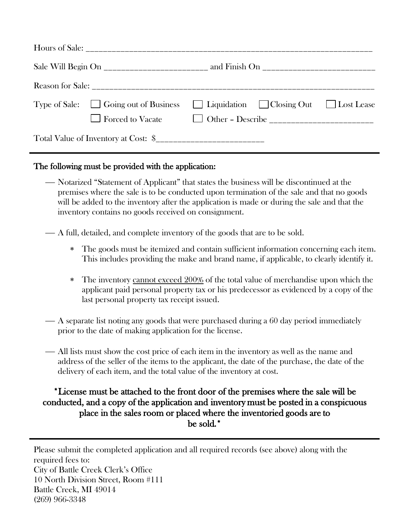| Type of Sale: $\Box$ Going out of Business |  | $\Box$ Liquidation $\Box$ Closing Out $\Box$ Lost Lease |  |
|--------------------------------------------|--|---------------------------------------------------------|--|
|                                            |  |                                                         |  |

## The following must be provided with the application:

- Notarized "Statement of Applicant" that states the business will be discontinued at the premises where the sale is to be conducted upon termination of the sale and that no goods will be added to the inventory after the application is made or during the sale and that the inventory contains no goods received on consignment.
- A full, detailed, and complete inventory of the goods that are to be sold.
	- The goods must be itemized and contain sufficient information concerning each item. This includes providing the make and brand name, if applicable, to clearly identify it.
	- The inventory cannot exceed 200% of the total value of merchandise upon which the applicant paid personal property tax or his predecessor as evidenced by a copy of the last personal property tax receipt issued.
- A separate list noting any goods that were purchased during a 60 day period immediately prior to the date of making application for the license.
- All lists must show the cost price of each item in the inventory as well as the name and address of the seller of the items to the applicant, the date of the purchase, the date of the delivery of each item, and the total value of the inventory at cost.

## \*License must be attached to the front door of the premises where the sale will be conducted, and a copy of the application and inventory must be posted in a conspicuous place in the sales room or placed where the inventoried goods are to be sold.\*

Please submit the completed application and all required records (see above) along with the required fees to: City of Battle Creek Clerk's Office 10 North Division Street, Room #111 Battle Creek, MI 49014 (269) 966-3348